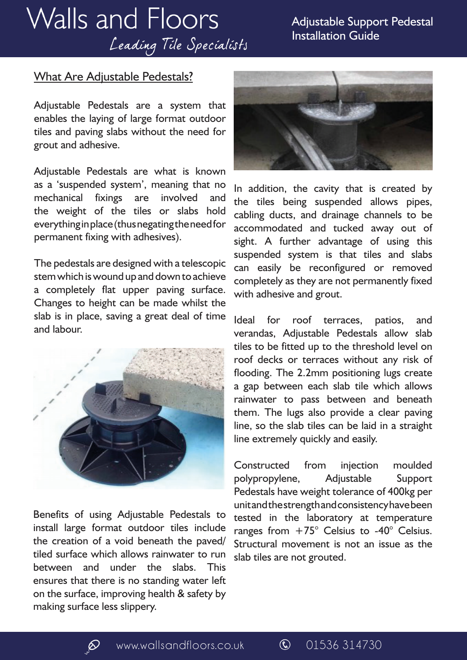# **Walls and Floors** Leading Tile Specialists

#### Adjustable Support Pedestal Installation Guide

#### What Are Adjustable Pedestals?

Adjustable Pedestals are a system that enables the laying of large format outdoor tiles and paving slabs without the need for grout and adhesive.

Adjustable Pedestals are what is known as a 'suspended system', meaning that no mechanical fixings are involved and the weight of the tiles or slabs hold everything in place (thus negating the need for permanent fixing with adhesives).

The pedestals are designed with a telescopic stem which is wound up and down to achieve a completely flat upper paving surface. Changes to height can be made whilst the slab is in place, saving a great deal of time and labour.



Benefits of using Adjustable Pedestals to install large format outdoor tiles include the creation of a void beneath the paved/ tiled surface which allows rainwater to run between and under the slabs. This ensures that there is no standing water left on the surface, improving health & safety by making surface less slippery.



In addition, the cavity that is created by the tiles being suspended allows pipes, cabling ducts, and drainage channels to be accommodated and tucked away out of sight. A further advantage of using this suspended system is that tiles and slabs can easily be reconfigured or removed completely as they are not permanently fixed with adhesive and grout.

Ideal for roof terraces, patios, and verandas, Adjustable Pedestals allow slab tiles to be fitted up to the threshold level on roof decks or terraces without any risk of flooding. The 2.2mm positioning lugs create a gap between each slab tile which allows rainwater to pass between and beneath them. The lugs also provide a clear paving line, so the slab tiles can be laid in a straight line extremely quickly and easily.

Constructed from injection moulded polypropylene, Adjustable Support Pedestals have weight tolerance of 400kg per unit and the strength and consistency have been tested in the laboratory at temperature ranges from  $+75^{\circ}$  Celsius to -40° Celsius. Structural movement is not an issue as the slab tiles are not grouted.

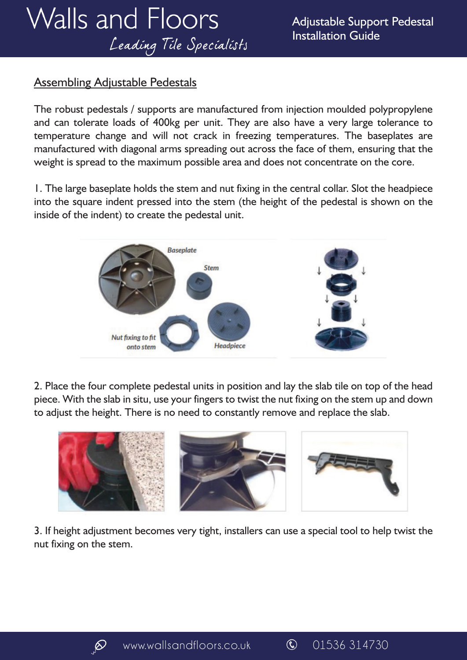### Assembling Adjustable Pedestals

The robust pedestals / supports are manufactured from injection moulded polypropylene and can tolerate loads of 400kg per unit. They are also have a very large tolerance to temperature change and will not crack in freezing temperatures. The baseplates are manufactured with diagonal arms spreading out across the face of them, ensuring that the weight is spread to the maximum possible area and does not concentrate on the core.

1. The large baseplate holds the stem and nut fixing in the central collar. Slot the headpiece into the square indent pressed into the stem (the height of the pedestal is shown on the inside of the indent) to create the pedestal unit.



2. Place the four complete pedestal units in position and lay the slab tile on top of the head piece. With the slab in situ, use your fingers to twist the nut fixing on the stem up and down to adjust the height. There is no need to constantly remove and replace the slab.



3. If height adjustment becomes very tight, installers can use a special tool to help twist the nut fixing on the stem.

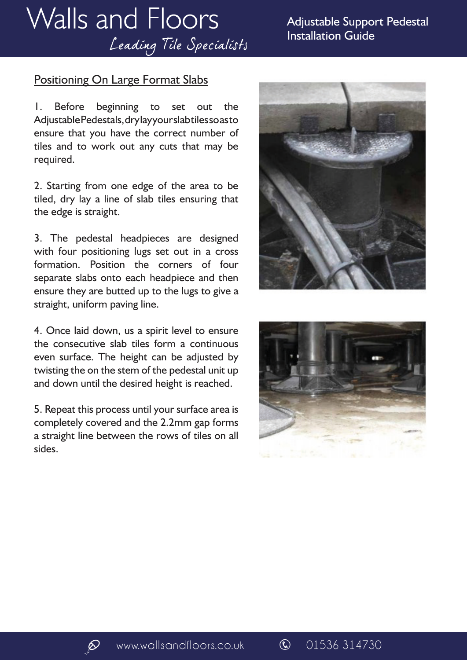## **Walls and Floors** Leading Tile Specialists

### Positioning On Large Format Slabs

1. Before beginning to set out the Adjustable Pedestals, dry lay your slab tiles so as to ensure that you have the correct number of tiles and to work out any cuts that may be required.

2. Starting from one edge of the area to be tiled, dry lay a line of slab tiles ensuring that the edge is straight.

3. The pedestal headpieces are designed with four positioning lugs set out in a cross formation. Position the corners of four separate slabs onto each headpiece and then ensure they are butted up to the lugs to give a straight, uniform paving line.

4. Once laid down, us a spirit level to ensure the consecutive slab tiles form a continuous even surface. The height can be adjusted by twisting the on the stem of the pedestal unit up and down until the desired height is reached.

5. Repeat this process until your surface area is completely covered and the 2.2mm gap forms a straight line between the rows of tiles on all sides.





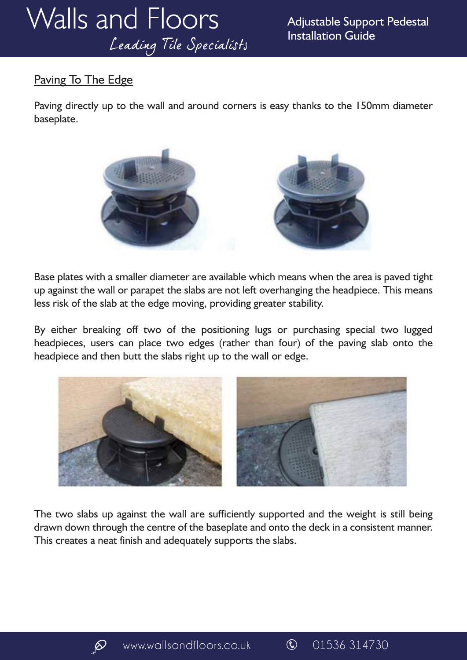### Paving To The Edge

Paving directly up to the wall and around corners is easy thanks to the 150mm diameter baseplate.



Base plates with a smaller diameter are available which means when the area is paved tight up against the wall or parapet the slabs are not left overhanging the headpiece. This means less risk of the slab at the edge moving, providing greater stability.

By either breaking off two of the positioning lugs or purchasing special two lugged headpieces, users can place two edges (rather than four) of the paving slab onto the headpiece and then butt the slabs right up to the wall or edge.



The two slabs up against the wall are sufficiently supported and the weight is still being drawn down through the centre of the baseplate and onto the deck in a consistent manner. This creates a neat finish and adequately supports the slabs.